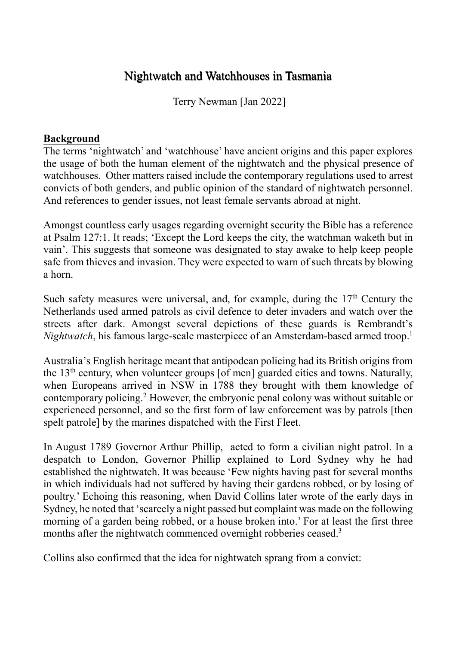## Nightwatch and Watchhouses in Tasmania

Terry Newman [Jan 2022]

## **Background**

The terms 'nightwatch' and 'watchhouse' have ancient origins and this paper explores the usage of both the human element of the nightwatch and the physical presence of watchhouses. Other matters raised include the contemporary regulations used to arrest convicts of both genders, and public opinion of the standard of nightwatch personnel. And references to gender issues, not least female servants abroad at night.

Amongst countless early usages regarding overnight security the Bible has a reference at Psalm 127:1. It reads; 'Except the Lord keeps the city, the watchman waketh but in vain'. This suggests that someone was designated to stay awake to help keep people safe from thieves and invasion. They were expected to warn of such threats by blowing a horn.

Such safety measures were universal, and, for example, during the  $17<sup>th</sup>$  Century the Netherlands used armed patrols as civil defence to deter invaders and watch over the streets after dark. Amongst several depictions of these guards is Rembrandt's *Nightwatch*, his famous large-scale masterpiece of an Amsterdam-based armed troop.<sup>1</sup>

Australia's English heritage meant that antipodean policing had its British origins from the  $13<sup>th</sup>$  century, when volunteer groups [of men] guarded cities and towns. Naturally, when Europeans arrived in NSW in 1788 they brought with them knowledge of contemporary policing.<sup>2</sup> However, the embryonic penal colony was without suitable or experienced personnel, and so the first form of law enforcement was by patrols [then spelt patrole] by the marines dispatched with the First Fleet.

In August 1789 Governor Arthur Phillip, acted to form a civilian night patrol. In a despatch to London, Governor Phillip explained to Lord Sydney why he had established the nightwatch. It was because 'Few nights having past for several months in which individuals had not suffered by having their gardens robbed, or by losing of poultry.' Echoing this reasoning, when David Collins later wrote of the early days in Sydney, he noted that 'scarcely a night passed but complaint was made on the following morning of a garden being robbed, or a house broken into.' For at least the first three months after the nightwatch commenced overnight robberies ceased.<sup>3</sup>

Collins also confirmed that the idea for nightwatch sprang from a convict: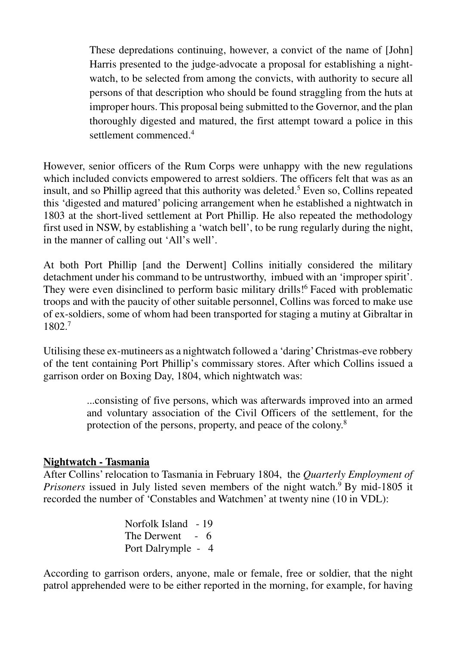These depredations continuing, however, a convict of the name of [John] Harris presented to the judge-advocate a proposal for establishing a nightwatch, to be selected from among the convicts, with authority to secure all persons of that description who should be found straggling from the huts at improper hours. This proposal being submitted to the Governor, and the plan thoroughly digested and matured, the first attempt toward a police in this settlement commenced.<sup>4</sup>

However, senior officers of the Rum Corps were unhappy with the new regulations which included convicts empowered to arrest soldiers. The officers felt that was as an insult, and so Phillip agreed that this authority was deleted.<sup>5</sup> Even so, Collins repeated this 'digested and matured' policing arrangement when he established a nightwatch in 1803 at the short-lived settlement at Port Phillip. He also repeated the methodology first used in NSW, by establishing a 'watch bell', to be rung regularly during the night, in the manner of calling out 'All's well'.

At both Port Phillip [and the Derwent] Collins initially considered the military detachment under his command to be untrustworthy, imbued with an 'improper spirit'. They were even disinclined to perform basic military drills!<sup>6</sup> Faced with problematic troops and with the paucity of other suitable personnel, Collins was forced to make use of ex-soldiers, some of whom had been transported for staging a mutiny at Gibraltar in 1802.<sup>7</sup>

Utilising these ex-mutineers as a nightwatch followed a 'daring' Christmas-eve robbery of the tent containing Port Phillip's commissary stores. After which Collins issued a garrison order on Boxing Day, 1804, which nightwatch was:

> ...consisting of five persons, which was afterwards improved into an armed and voluntary association of the Civil Officers of the settlement, for the protection of the persons, property, and peace of the colony.<sup>8</sup>

## **Nightwatch - Tasmania**

After Collins' relocation to Tasmania in February 1804, the *Quarterly Employment of Prisoners* issued in July listed seven members of the night watch.<sup>9</sup> By mid-1805 it recorded the number of 'Constables and Watchmen' at twenty nine (10 in VDL):

> Norfolk Island - 19 The Derwent - 6 Port Dalrymple - 4

According to garrison orders, anyone, male or female, free or soldier, that the night patrol apprehended were to be either reported in the morning, for example, for having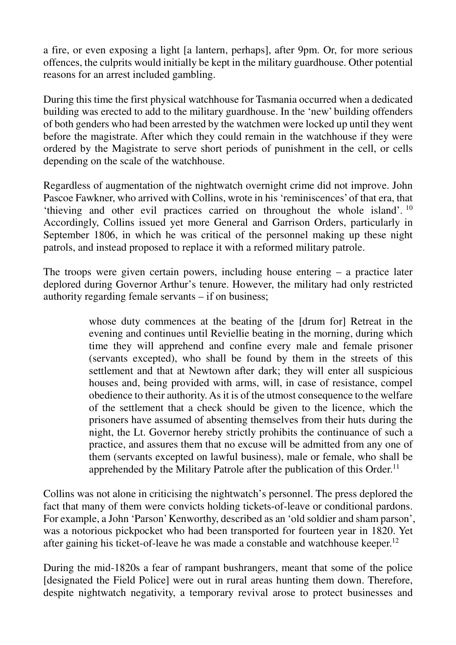a fire, or even exposing a light [a lantern, perhaps], after 9pm. Or, for more serious offences, the culprits would initially be kept in the military guardhouse. Other potential reasons for an arrest included gambling.

During this time the first physical watchhouse for Tasmania occurred when a dedicated building was erected to add to the military guardhouse. In the 'new' building offenders of both genders who had been arrested by the watchmen were locked up until they went before the magistrate. After which they could remain in the watchhouse if they were ordered by the Magistrate to serve short periods of punishment in the cell, or cells depending on the scale of the watchhouse.

Regardless of augmentation of the nightwatch overnight crime did not improve. John Pascoe Fawkner, who arrived with Collins, wrote in his 'reminiscences' of that era, that 'thieving and other evil practices carried on throughout the whole island'. <sup>10</sup> Accordingly, Collins issued yet more General and Garrison Orders, particularly in September 1806, in which he was critical of the personnel making up these night patrols, and instead proposed to replace it with a reformed military patrole.

The troops were given certain powers, including house entering – a practice later deplored during Governor Arthur's tenure. However, the military had only restricted authority regarding female servants – if on business;

> whose duty commences at the beating of the [drum for] Retreat in the evening and continues until Reviellie beating in the morning, during which time they will apprehend and confine every male and female prisoner (servants excepted), who shall be found by them in the streets of this settlement and that at Newtown after dark; they will enter all suspicious houses and, being provided with arms, will, in case of resistance, compel obedience to their authority. As it is of the utmost consequence to the welfare of the settlement that a check should be given to the licence, which the prisoners have assumed of absenting themselves from their huts during the night, the Lt. Governor hereby strictly prohibits the continuance of such a practice, and assures them that no excuse will be admitted from any one of them (servants excepted on lawful business), male or female, who shall be apprehended by the Military Patrole after the publication of this Order.<sup>11</sup>

Collins was not alone in criticising the nightwatch's personnel. The press deplored the fact that many of them were convicts holding tickets-of-leave or conditional pardons. For example, a John 'Parson' Kenworthy, described as an 'old soldier and sham parson', was a notorious pickpocket who had been transported for fourteen year in 1820. Yet after gaining his ticket-of-leave he was made a constable and watchhouse keeper.<sup>12</sup>

During the mid-1820s a fear of rampant bushrangers, meant that some of the police [designated the Field Police] were out in rural areas hunting them down. Therefore, despite nightwatch negativity, a temporary revival arose to protect businesses and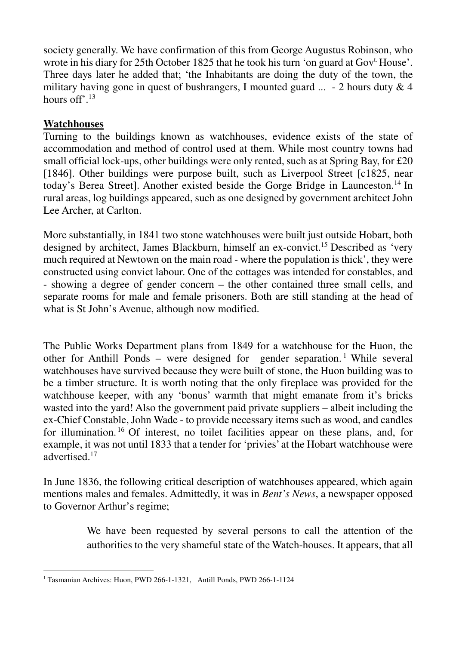society generally. We have confirmation of this from George Augustus Robinson, who wrote in his diary for 25th October 1825 that he took his turn 'on guard at Gov<sup>t.</sup> House'. Three days later he added that; 'the Inhabitants are doing the duty of the town, the military having gone in quest of bushrangers, I mounted guard  $\ldots$  - 2 hours duty & 4 hours off'.<sup>13</sup>

## **Watchhouses**

Turning to the buildings known as watchhouses, evidence exists of the state of accommodation and method of control used at them. While most country towns had small official lock-ups, other buildings were only rented, such as at Spring Bay, for £20 [1846]. Other buildings were purpose built, such as Liverpool Street [c1825, near today's Berea Street]. Another existed beside the Gorge Bridge in Launceston.<sup>14</sup> In rural areas, log buildings appeared, such as one designed by government architect John Lee Archer, at Carlton.

More substantially, in 1841 two stone watchhouses were built just outside Hobart, both designed by architect, James Blackburn, himself an ex-convict.<sup>15</sup> Described as 'very much required at Newtown on the main road - where the population is thick', they were constructed using convict labour. One of the cottages was intended for constables, and - showing a degree of gender concern – the other contained three small cells, and separate rooms for male and female prisoners. Both are still standing at the head of what is St John's Avenue, although now modified.

The Public Works Department plans from 1849 for a watchhouse for the Huon, the other for Anthill Ponds – were designed for gender separation.<sup>1</sup> While several watchhouses have survived because they were built of stone, the Huon building was to be a timber structure. It is worth noting that the only fireplace was provided for the watchhouse keeper, with any 'bonus' warmth that might emanate from it's bricks wasted into the yard! Also the government paid private suppliers – albeit including the ex-Chief Constable, John Wade - to provide necessary items such as wood, and candles for illumination. <sup>16</sup> Of interest, no toilet facilities appear on these plans, and, for example, it was not until 1833 that a tender for 'privies' at the Hobart watchhouse were advertised.<sup>17</sup>

In June 1836, the following critical description of watchhouses appeared, which again mentions males and females. Admittedly, it was in *Bent's News*, a newspaper opposed to Governor Arthur's regime;

> We have been requested by several persons to call the attention of the authorities to the very shameful state of the Watch-houses. It appears, that all

 $\overline{a}$ <sup>1</sup> Tasmanian Archives: Huon, PWD 266-1-1321, Antill Ponds, PWD 266-1-1124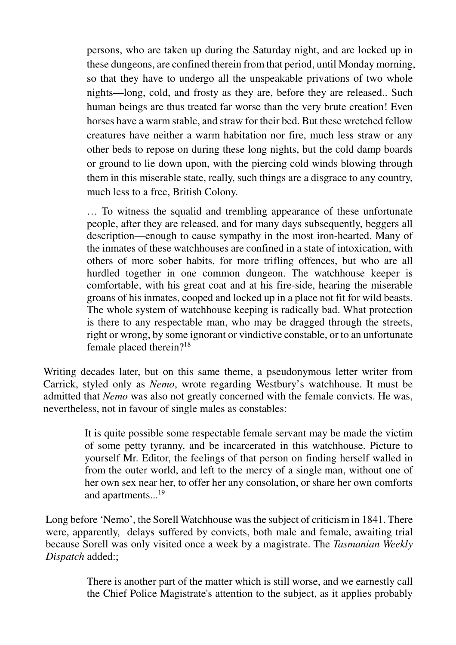persons, who are taken up during the Saturday night, and are locked up in these dungeons, are confined therein from that period, until Monday morning, so that they have to undergo all the unspeakable privations of two whole nights—long, cold, and frosty as they are, before they are released.. Such human beings are thus treated far worse than the very brute creation! Even horses have a warm stable, and straw for their bed. But these wretched fellow creatures have neither a warm habitation nor fire, much less straw or any other beds to repose on during these long nights, but the cold damp boards or ground to lie down upon, with the piercing cold winds blowing through them in this miserable state, really, such things are a disgrace to any country, much less to a free, British Colony.

… To witness the squalid and trembling appearance of these unfortunate people, after they are released, and for many days subsequently, beggers all description—enough to cause sympathy in the most iron-hearted. Many of the inmates of these watchhouses are confined in a state of intoxication, with others of more sober habits, for more trifling offences, but who are all hurdled together in one common dungeon. The watchhouse keeper is comfortable, with his great coat and at his fire-side, hearing the miserable groans of his inmates, cooped and locked up in a place not fit for wild beasts. The whole system of watchhouse keeping is radically bad. What protection is there to any respectable man, who may be dragged through the streets, right or wrong, by some ignorant or vindictive constable, or to an unfortunate female placed therein?<sup>18</sup>

Writing decades later, but on this same theme, a pseudonymous letter writer from Carrick, styled only as *Nemo*, wrote regarding Westbury's watchhouse. It must be admitted that *Nemo* was also not greatly concerned with the female convicts. He was, nevertheless, not in favour of single males as constables:

> It is quite possible some respectable female servant may be made the victim of some petty tyranny, and be incarcerated in this watchhouse. Picture to yourself Mr. Editor, the feelings of that person on finding herself walled in from the outer world, and left to the mercy of a single man, without one of her own sex near her, to offer her any consolation, or share her own comforts and apartments...<sup>19</sup>

Long before 'Nemo', the Sorell Watchhouse was the subject of criticism in 1841. There were, apparently, delays suffered by convicts, both male and female, awaiting trial because Sorell was only visited once a week by a magistrate. The *Tasmanian Weekly Dispatch* added:;

> There is another part of the matter which is still worse, and we earnestly call the Chief Police Magistrate's attention to the subject, as it applies probably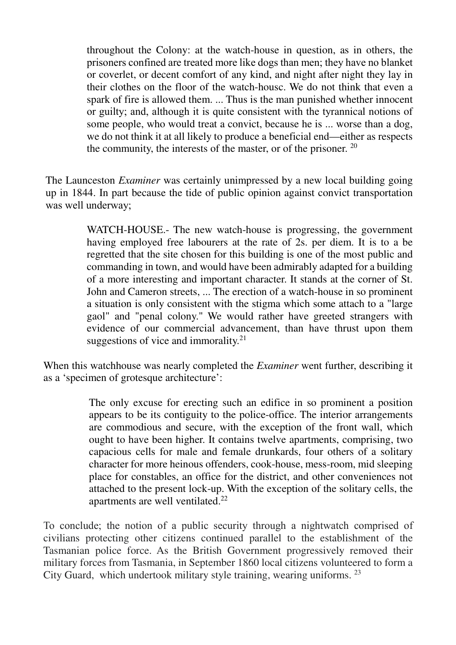throughout the Colony: at the watch-house in question, as in others, the prisoners confined are treated more like dogs than men; they have no blanket or coverlet, or decent comfort of any kind, and night after night they lay in their clothes on the floor of the watch-housc. We do not think that even a spark of fire is allowed them. ... Thus is the man punished whether innocent or guilty; and, although it is quite consistent with the tyrannical notions of some people, who would treat a convict, because he is ... worse than a dog, we do not think it at all likely to produce a beneficial end—either as respects the community, the interests of the master, or of the prisoner.  $20$ 

The Launceston *Examiner* was certainly unimpressed by a new local building going up in 1844. In part because the tide of public opinion against convict transportation was well underway;

> WATCH-HOUSE.- The new watch-house is progressing, the government having employed free labourers at the rate of 2s. per diem. It is to a be regretted that the site chosen for this building is one of the most public and commanding in town, and would have been admirably adapted for a building of a more interesting and important character. It stands at the corner of St. John and Cameron streets, ... The erection of a watch-house in so prominent a situation is only consistent with the stigma which some attach to a "large gaol" and "penal colony." We would rather have greeted strangers with evidence of our commercial advancement, than have thrust upon them suggestions of vice and immorality.<sup>21</sup>

When this watchhouse was nearly completed the *Examiner* went further, describing it as a 'specimen of grotesque architecture':

> The only excuse for erecting such an edifice in so prominent a position appears to be its contiguity to the police-office. The interior arrangements are commodious and secure, with the exception of the front wall, which ought to have been higher. It contains twelve apartments, comprising, two capacious cells for male and female drunkards, four others of a solitary character for more heinous offenders, cook-house, mess-room, mid sleeping place for constables, an office for the district, and other conveniences not attached to the present lock-up. With the exception of the solitary cells, the apartments are well ventilated.<sup>22</sup>

To conclude; the notion of a public security through a nightwatch comprised of civilians protecting other citizens continued parallel to the establishment of the Tasmanian police force. As the British Government progressively removed their military forces from Tasmania, in September 1860 local citizens volunteered to form a City Guard, which undertook military style training, wearing uniforms. 23